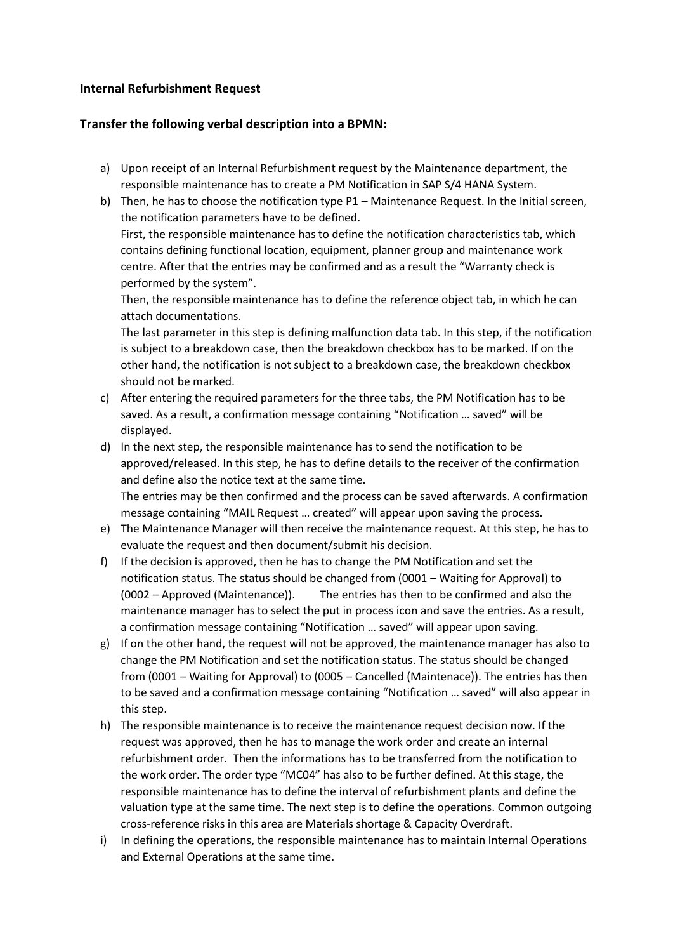## **Internal Refurbishment Request**

## **Transfer the following verbal description into a BPMN:**

- a) Upon receipt of an Internal Refurbishment request by the Maintenance department, the responsible maintenance has to create a PM Notification in SAP S/4 HANA System.
- b) Then, he has to choose the notification type P1 Maintenance Request. In the Initial screen, the notification parameters have to be defined. First, the responsible maintenance has to define the notification characteristics tab, which contains defining functional location, equipment, planner group and maintenance work centre. After that the entries may be confirmed and as a result the "Warranty check is performed by the system".

Then, the responsible maintenance has to define the reference object tab, in which he can attach documentations.

The last parameter in this step is defining malfunction data tab. In this step, if the notification is subject to a breakdown case, then the breakdown checkbox has to be marked. If on the other hand, the notification is not subject to a breakdown case, the breakdown checkbox should not be marked.

- c) After entering the required parameters for the three tabs, the PM Notification has to be saved. As a result, a confirmation message containing "Notification … saved" will be displayed.
- d) In the next step, the responsible maintenance has to send the notification to be approved/released. In this step, he has to define details to the receiver of the confirmation and define also the notice text at the same time. The entries may be then confirmed and the process can be saved afterwards. A confirmation message containing "MAIL Request … created" will appear upon saving the process.
- e) The Maintenance Manager will then receive the maintenance request. At this step, he has to evaluate the request and then document/submit his decision.
- f) If the decision is approved, then he has to change the PM Notification and set the notification status. The status should be changed from (0001 – Waiting for Approval) to (0002 – Approved (Maintenance)). The entries has then to be confirmed and also the maintenance manager has to select the put in process icon and save the entries. As a result, a confirmation message containing "Notification … saved" will appear upon saving.
- g) If on the other hand, the request will not be approved, the maintenance manager has also to change the PM Notification and set the notification status. The status should be changed from (0001 – Waiting for Approval) to (0005 – Cancelled (Maintenace)). The entries has then to be saved and a confirmation message containing "Notification … saved" will also appear in this step.
- h) The responsible maintenance is to receive the maintenance request decision now. If the request was approved, then he has to manage the work order and create an internal refurbishment order. Then the informations has to be transferred from the notification to the work order. The order type "MC04" has also to be further defined. At this stage, the responsible maintenance has to define the interval of refurbishment plants and define the valuation type at the same time. The next step is to define the operations. Common outgoing cross-reference risks in this area are Materials shortage & Capacity Overdraft.
- i) In defining the operations, the responsible maintenance has to maintain Internal Operations and External Operations at the same time.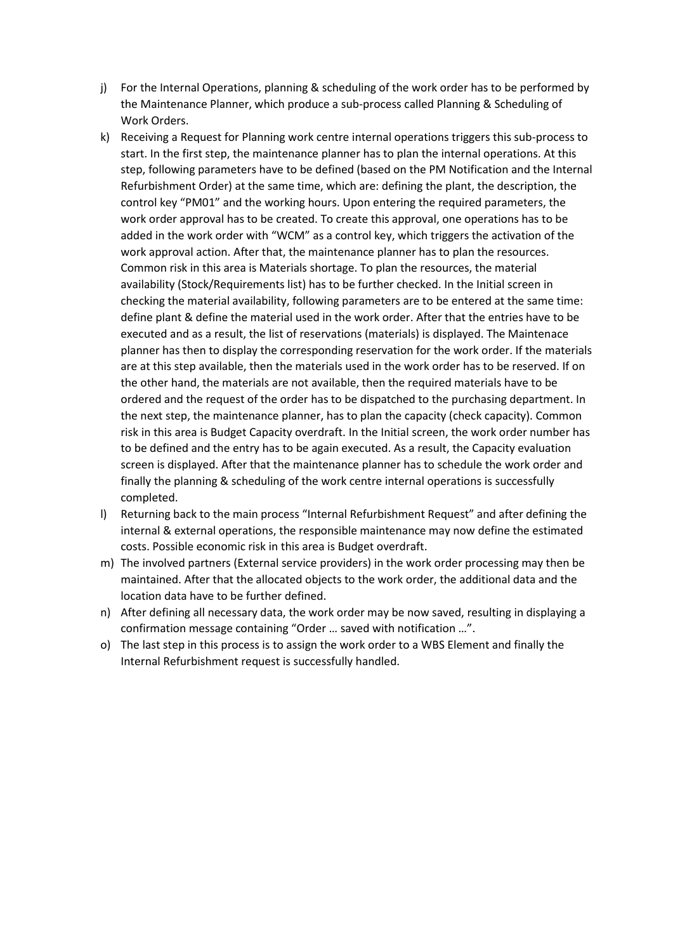- j) For the Internal Operations, planning & scheduling of the work order has to be performed by the Maintenance Planner, which produce a sub-process called Planning & Scheduling of Work Orders.
- k) Receiving a Request for Planning work centre internal operations triggers this sub-process to start. In the first step, the maintenance planner has to plan the internal operations. At this step, following parameters have to be defined (based on the PM Notification and the Internal Refurbishment Order) at the same time, which are: defining the plant, the description, the control key "PM01" and the working hours. Upon entering the required parameters, the work order approval has to be created. To create this approval, one operations has to be added in the work order with "WCM" as a control key, which triggers the activation of the work approval action. After that, the maintenance planner has to plan the resources. Common risk in this area is Materials shortage. To plan the resources, the material availability (Stock/Requirements list) has to be further checked. In the Initial screen in checking the material availability, following parameters are to be entered at the same time: define plant & define the material used in the work order. After that the entries have to be executed and as a result, the list of reservations (materials) is displayed. The Maintenace planner has then to display the corresponding reservation for the work order. If the materials are at this step available, then the materials used in the work order has to be reserved. If on the other hand, the materials are not available, then the required materials have to be ordered and the request of the order has to be dispatched to the purchasing department. In the next step, the maintenance planner, has to plan the capacity (check capacity). Common risk in this area is Budget Capacity overdraft. In the Initial screen, the work order number has to be defined and the entry has to be again executed. As a result, the Capacity evaluation screen is displayed. After that the maintenance planner has to schedule the work order and finally the planning & scheduling of the work centre internal operations is successfully completed.
- l) Returning back to the main process "Internal Refurbishment Request" and after defining the internal & external operations, the responsible maintenance may now define the estimated costs. Possible economic risk in this area is Budget overdraft.
- m) The involved partners (External service providers) in the work order processing may then be maintained. After that the allocated objects to the work order, the additional data and the location data have to be further defined.
- n) After defining all necessary data, the work order may be now saved, resulting in displaying a confirmation message containing "Order … saved with notification …".
- o) The last step in this process is to assign the work order to a WBS Element and finally the Internal Refurbishment request is successfully handled.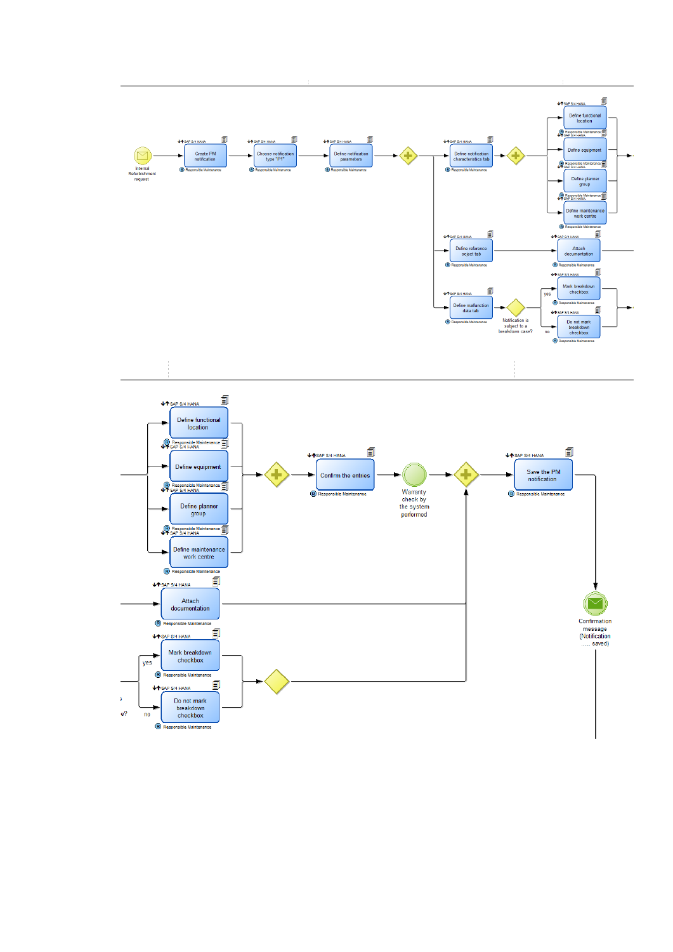

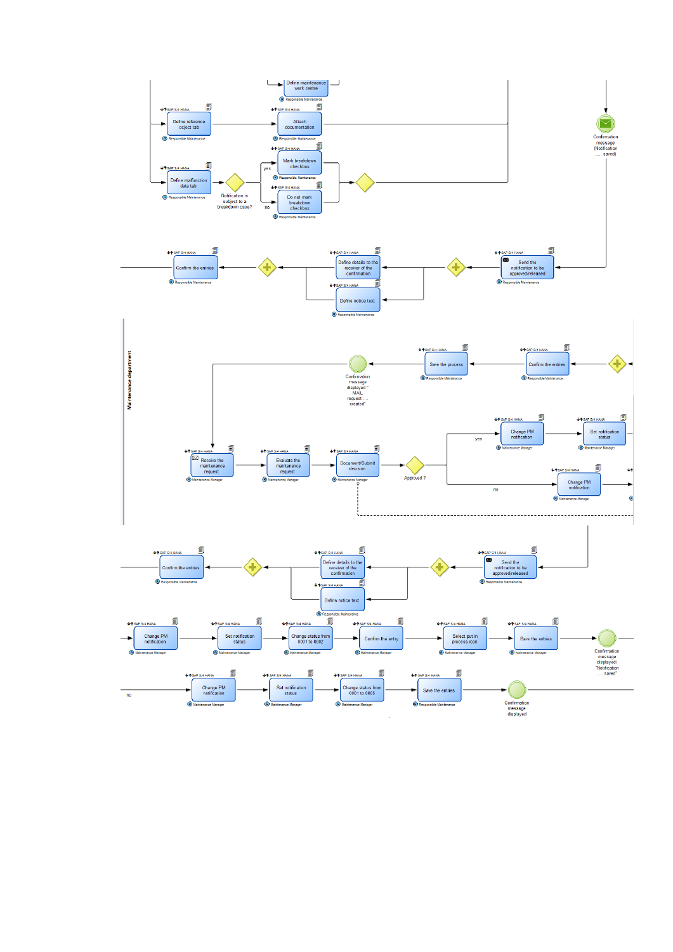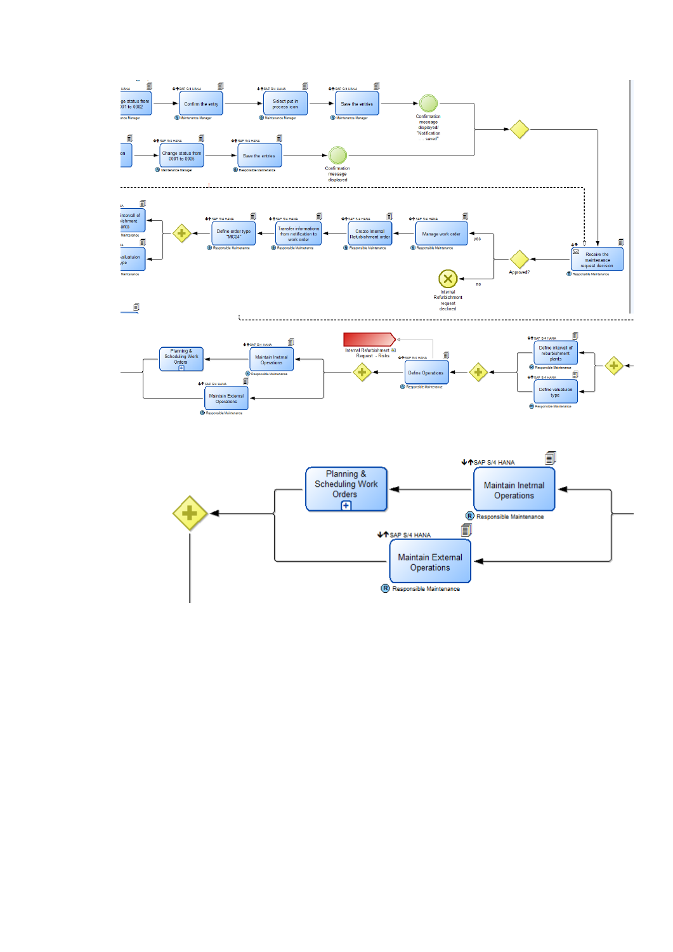

R Responsible Maintenance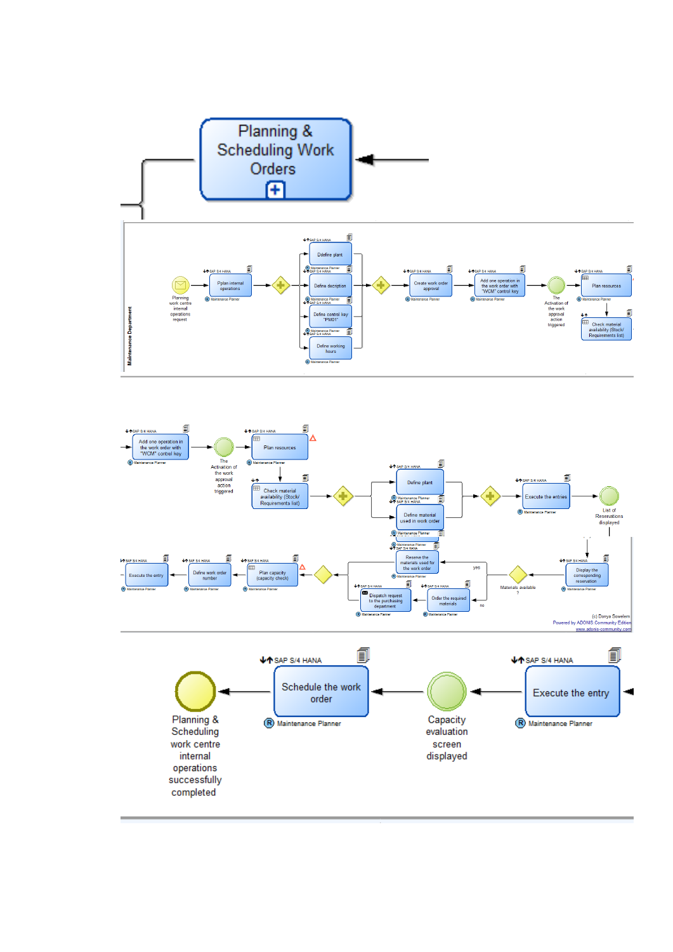